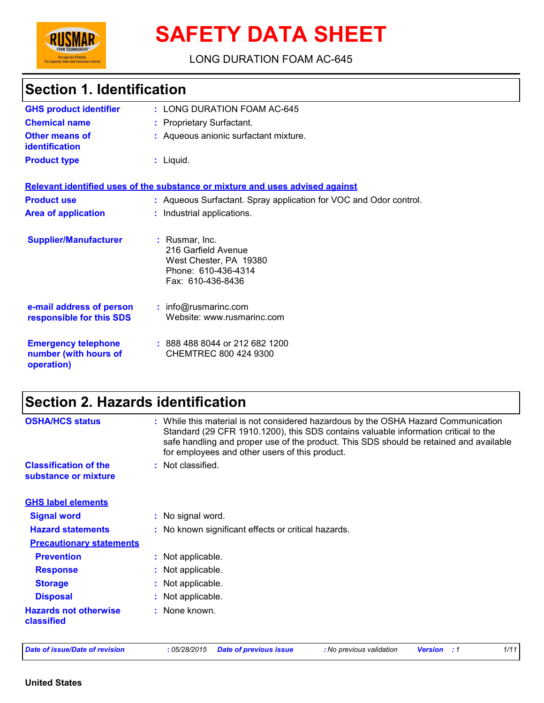

# **SAFETY DATA SHEET**

LONG DURATION FOAM AC-645

# **Section 1. Identification**

| <b>GHS product identifier</b>                                     | : LONG DURATION FOAM AC-645                                                                                 |
|-------------------------------------------------------------------|-------------------------------------------------------------------------------------------------------------|
| <b>Chemical name</b>                                              | : Proprietary Surfactant.                                                                                   |
| <b>Other means of</b><br><b>identification</b>                    | : Aqueous anionic surfactant mixture.                                                                       |
| <b>Product type</b>                                               | $:$ Liquid.                                                                                                 |
|                                                                   | Relevant identified uses of the substance or mixture and uses advised against                               |
| <b>Product use</b>                                                | : Aqueous Surfactant. Spray application for VOC and Odor control.                                           |
| <b>Area of application</b>                                        | : Industrial applications.                                                                                  |
| <b>Supplier/Manufacturer</b>                                      | : Rusmar, Inc.<br>216 Garfield Avenue<br>West Chester, PA 19380<br>Phone: 610-436-4314<br>Fax: 610-436-8436 |
| e-mail address of person<br>responsible for this SDS              | $:$ info@rusmarinc.com<br>Website: www.rusmarinc.com                                                        |
| <b>Emergency telephone</b><br>number (with hours of<br>operation) | $: 8884888044$ or 212 682 1200<br>CHEMTREC 800 424 9300                                                     |

# **Section 2. Hazards identification**

| : While this material is not considered hazardous by the OSHA Hazard Communication<br>Standard (29 CFR 1910.1200), this SDS contains valuable information critical to the<br>safe handling and proper use of the product. This SDS should be retained and available<br>for employees and other users of this product. |
|-----------------------------------------------------------------------------------------------------------------------------------------------------------------------------------------------------------------------------------------------------------------------------------------------------------------------|
| : Not classified.                                                                                                                                                                                                                                                                                                     |
|                                                                                                                                                                                                                                                                                                                       |
|                                                                                                                                                                                                                                                                                                                       |
| : No signal word.                                                                                                                                                                                                                                                                                                     |
| : No known significant effects or critical hazards.                                                                                                                                                                                                                                                                   |
|                                                                                                                                                                                                                                                                                                                       |
| : Not applicable.                                                                                                                                                                                                                                                                                                     |
| : Not applicable.                                                                                                                                                                                                                                                                                                     |
| : Not applicable.                                                                                                                                                                                                                                                                                                     |
| : Not applicable.                                                                                                                                                                                                                                                                                                     |
| : None known.                                                                                                                                                                                                                                                                                                         |
|                                                                                                                                                                                                                                                                                                                       |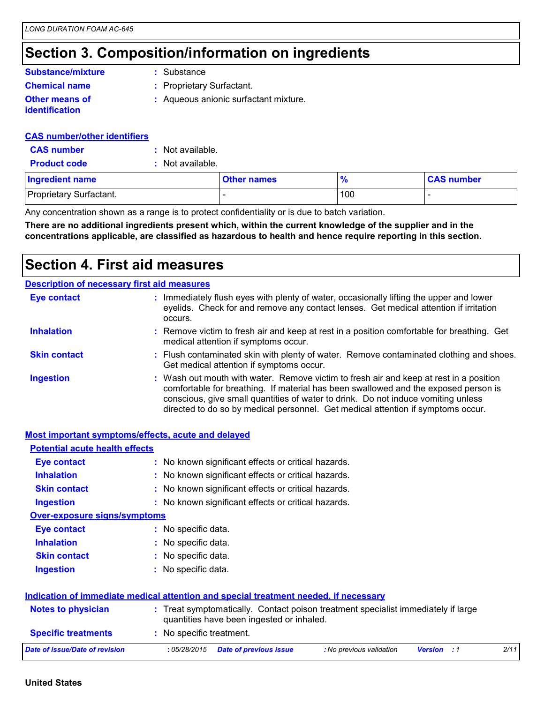### **Section 3. Composition/information on ingredients**

#### **Substance/mixture**

**:** Substance

**Chemical name :** Proprietary Surfactant.

**Other means of identification**

**:** Aqueous anionic surfactant mixture.

**CAS number/other identifiers**

**CAS number :** Not available.

**Product code :** Not available.

| <b>Ingredient name</b>  | <b>Other names</b> | $\Omega$ | <b>CAS number</b> |
|-------------------------|--------------------|----------|-------------------|
| Proprietary Surfactant. |                    | 100      |                   |

Any concentration shown as a range is to protect confidentiality or is due to batch variation.

**There are no additional ingredients present which, within the current knowledge of the supplier and in the concentrations applicable, are classified as hazardous to health and hence require reporting in this section.**

### **Section 4. First aid measures**

|                     | <b>Description of necessary first aid measures</b>                                                                                                                                                                                                                                                                                                     |
|---------------------|--------------------------------------------------------------------------------------------------------------------------------------------------------------------------------------------------------------------------------------------------------------------------------------------------------------------------------------------------------|
| <b>Eye contact</b>  | : Immediately flush eyes with plenty of water, occasionally lifting the upper and lower<br>eyelids. Check for and remove any contact lenses. Get medical attention if irritation<br>occurs.                                                                                                                                                            |
| <b>Inhalation</b>   | : Remove victim to fresh air and keep at rest in a position comfortable for breathing. Get<br>medical attention if symptoms occur.                                                                                                                                                                                                                     |
| <b>Skin contact</b> | : Flush contaminated skin with plenty of water. Remove contaminated clothing and shoes.<br>Get medical attention if symptoms occur.                                                                                                                                                                                                                    |
| <b>Ingestion</b>    | : Wash out mouth with water. Remove victim to fresh air and keep at rest in a position<br>comfortable for breathing. If material has been swallowed and the exposed person is<br>conscious, give small quantities of water to drink. Do not induce vomiting unless<br>directed to do so by medical personnel. Get medical attention if symptoms occur. |

|                                       | <b>Most important symptoms/effects, acute and delayed</b>                                                                      |
|---------------------------------------|--------------------------------------------------------------------------------------------------------------------------------|
| <b>Potential acute health effects</b> |                                                                                                                                |
| <b>Eye contact</b>                    | : No known significant effects or critical hazards.                                                                            |
| <b>Inhalation</b>                     | : No known significant effects or critical hazards.                                                                            |
| <b>Skin contact</b>                   | : No known significant effects or critical hazards.                                                                            |
| <b>Ingestion</b>                      | : No known significant effects or critical hazards.                                                                            |
| <b>Over-exposure signs/symptoms</b>   |                                                                                                                                |
| <b>Eye contact</b>                    | : No specific data.                                                                                                            |
| <b>Inhalation</b>                     | : No specific data.                                                                                                            |
| <b>Skin contact</b>                   | : No specific data.                                                                                                            |
| <b>Ingestion</b>                      | : No specific data.                                                                                                            |
|                                       | Indication of immediate medical attention and special treatment needed, if necessary                                           |
| <b>Notes to physician</b>             | : Treat symptomatically. Contact poison treatment specialist immediately if large<br>quantities have been ingested or inhaled. |
| <b>Specific treatments</b>            | : No specific treatment.                                                                                                       |
| <b>Date of issue/Date of revision</b> | 2/11<br>:05/28/2015<br><b>Date of previous issue</b><br>: No previous validation<br><b>Version</b><br>. . 1                    |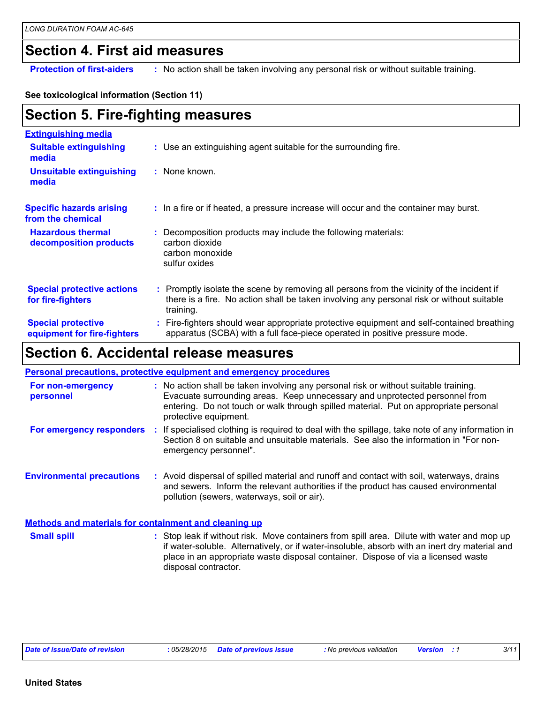#### **Section 4. First aid measures**

**Protection of first-aiders** : No action shall be taken involving any personal risk or without suitable training.

#### **See toxicological information (Section 11)**

| <b>Section 5. Fire-fighting measures</b> |  |
|------------------------------------------|--|
|------------------------------------------|--|

| <b>Extinguishing media</b>                               |                                                                                                                                                                                                     |
|----------------------------------------------------------|-----------------------------------------------------------------------------------------------------------------------------------------------------------------------------------------------------|
| <b>Suitable extinguishing</b><br>media                   | : Use an extinguishing agent suitable for the surrounding fire.                                                                                                                                     |
| <b>Unsuitable extinguishing</b><br>media                 | : None known.                                                                                                                                                                                       |
| <b>Specific hazards arising</b><br>from the chemical     | : In a fire or if heated, a pressure increase will occur and the container may burst.                                                                                                               |
| <b>Hazardous thermal</b><br>decomposition products       | Decomposition products may include the following materials:<br>carbon dioxide<br>carbon monoxide<br>sulfur oxides                                                                                   |
| <b>Special protective actions</b><br>for fire-fighters   | : Promptly isolate the scene by removing all persons from the vicinity of the incident if<br>there is a fire. No action shall be taken involving any personal risk or without suitable<br>training. |
| <b>Special protective</b><br>equipment for fire-fighters | : Fire-fighters should wear appropriate protective equipment and self-contained breathing<br>apparatus (SCBA) with a full face-piece operated in positive pressure mode.                            |

## **Section 6. Accidental release measures**

|                                                              | <b>Personal precautions, protective equipment and emergency procedures</b>                                                                                                                                                                                                                               |
|--------------------------------------------------------------|----------------------------------------------------------------------------------------------------------------------------------------------------------------------------------------------------------------------------------------------------------------------------------------------------------|
| For non-emergency<br>personnel                               | : No action shall be taken involving any personal risk or without suitable training.<br>Evacuate surrounding areas. Keep unnecessary and unprotected personnel from<br>entering. Do not touch or walk through spilled material. Put on appropriate personal<br>protective equipment.                     |
| For emergency responders                                     | : If specialised clothing is required to deal with the spillage, take note of any information in<br>Section 8 on suitable and unsuitable materials. See also the information in "For non-<br>emergency personnel".                                                                                       |
| <b>Environmental precautions</b>                             | : Avoid dispersal of spilled material and runoff and contact with soil, waterways, drains<br>and sewers. Inform the relevant authorities if the product has caused environmental<br>pollution (sewers, waterways, soil or air).                                                                          |
| <b>Methods and materials for containment and cleaning up</b> |                                                                                                                                                                                                                                                                                                          |
| <b>Small spill</b>                                           | : Stop leak if without risk. Move containers from spill area. Dilute with water and mop up<br>if water-soluble. Alternatively, or if water-insoluble, absorb with an inert dry material and<br>place in an appropriate waste disposal container. Dispose of via a licensed waste<br>disposal contractor. |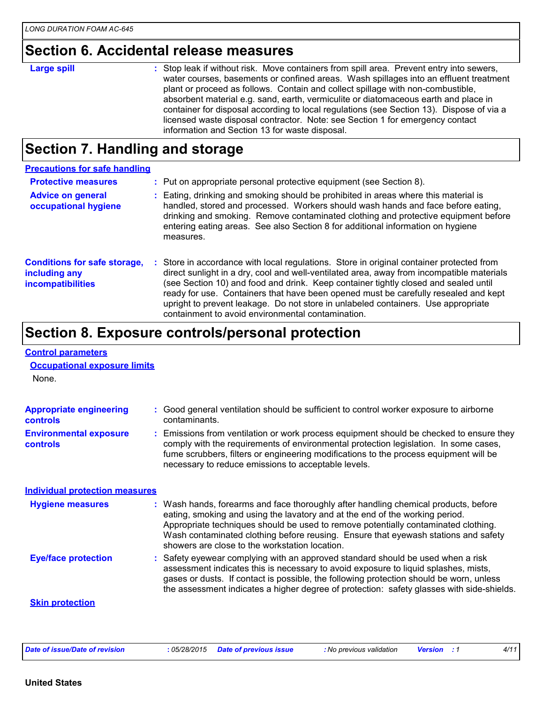### **Section 6. Accidental release measures**

| <b>Large spill</b> | : Stop leak if without risk. Move containers from spill area. Prevent entry into sewers,<br>water courses, basements or confined areas. Wash spillages into an effluent treatment<br>plant or proceed as follows. Contain and collect spillage with non-combustible,<br>absorbent material e.g. sand, earth, vermiculite or diatomaceous earth and place in<br>container for disposal according to local regulations (see Section 13). Dispose of via a<br>licensed waste disposal contractor. Note: see Section 1 for emergency contact<br>information and Section 13 for waste disposal. |
|--------------------|--------------------------------------------------------------------------------------------------------------------------------------------------------------------------------------------------------------------------------------------------------------------------------------------------------------------------------------------------------------------------------------------------------------------------------------------------------------------------------------------------------------------------------------------------------------------------------------------|
|--------------------|--------------------------------------------------------------------------------------------------------------------------------------------------------------------------------------------------------------------------------------------------------------------------------------------------------------------------------------------------------------------------------------------------------------------------------------------------------------------------------------------------------------------------------------------------------------------------------------------|

# **Section 7. Handling and storage**

| <b>Precautions for safe handling</b>                                             |                                                                                                                                                                                                                                                                                                                                                                                                                                                                                                               |
|----------------------------------------------------------------------------------|---------------------------------------------------------------------------------------------------------------------------------------------------------------------------------------------------------------------------------------------------------------------------------------------------------------------------------------------------------------------------------------------------------------------------------------------------------------------------------------------------------------|
| <b>Protective measures</b>                                                       | : Put on appropriate personal protective equipment (see Section 8).                                                                                                                                                                                                                                                                                                                                                                                                                                           |
| <b>Advice on general</b><br>occupational hygiene                                 | : Eating, drinking and smoking should be prohibited in areas where this material is<br>handled, stored and processed. Workers should wash hands and face before eating,<br>drinking and smoking. Remove contaminated clothing and protective equipment before<br>entering eating areas. See also Section 8 for additional information on hygiene<br>measures.                                                                                                                                                 |
| <b>Conditions for safe storage,</b><br>including any<br><b>incompatibilities</b> | : Store in accordance with local regulations. Store in original container protected from<br>direct sunlight in a dry, cool and well-ventilated area, away from incompatible materials<br>(see Section 10) and food and drink. Keep container tightly closed and sealed until<br>ready for use. Containers that have been opened must be carefully resealed and kept<br>upright to prevent leakage. Do not store in unlabeled containers. Use appropriate<br>containment to avoid environmental contamination. |

# **Section 8. Exposure controls/personal protection**

| <b>Control parameters</b>                  |                                                                                                                                                                                                                                                                                                                                                                                                   |
|--------------------------------------------|---------------------------------------------------------------------------------------------------------------------------------------------------------------------------------------------------------------------------------------------------------------------------------------------------------------------------------------------------------------------------------------------------|
| <b>Occupational exposure limits</b>        |                                                                                                                                                                                                                                                                                                                                                                                                   |
| None.                                      |                                                                                                                                                                                                                                                                                                                                                                                                   |
| <b>Appropriate engineering</b><br>controls | : Good general ventilation should be sufficient to control worker exposure to airborne<br>contaminants.                                                                                                                                                                                                                                                                                           |
| <b>Environmental exposure</b><br>controls  | Emissions from ventilation or work process equipment should be checked to ensure they<br>comply with the requirements of environmental protection legislation. In some cases,<br>fume scrubbers, filters or engineering modifications to the process equipment will be<br>necessary to reduce emissions to acceptable levels.                                                                     |
| <b>Individual protection measures</b>      |                                                                                                                                                                                                                                                                                                                                                                                                   |
| <b>Hygiene measures</b>                    | : Wash hands, forearms and face thoroughly after handling chemical products, before<br>eating, smoking and using the lavatory and at the end of the working period.<br>Appropriate techniques should be used to remove potentially contaminated clothing.<br>Wash contaminated clothing before reusing. Ensure that eyewash stations and safety<br>showers are close to the workstation location. |
| <b>Eye/face protection</b>                 | Safety eyewear complying with an approved standard should be used when a risk<br>assessment indicates this is necessary to avoid exposure to liquid splashes, mists,<br>gases or dusts. If contact is possible, the following protection should be worn, unless<br>the assessment indicates a higher degree of protection: safety glasses with side-shields.                                      |
| <b>Skin protection</b>                     |                                                                                                                                                                                                                                                                                                                                                                                                   |
|                                            |                                                                                                                                                                                                                                                                                                                                                                                                   |
|                                            |                                                                                                                                                                                                                                                                                                                                                                                                   |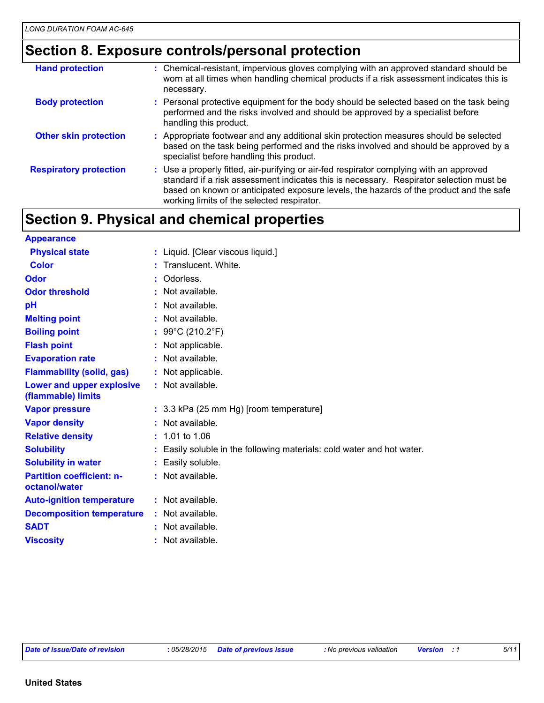### **Section 8. Exposure controls/personal protection**

| <b>Hand protection</b>        | : Chemical-resistant, impervious gloves complying with an approved standard should be<br>worn at all times when handling chemical products if a risk assessment indicates this is<br>necessary.                                                                                                                            |
|-------------------------------|----------------------------------------------------------------------------------------------------------------------------------------------------------------------------------------------------------------------------------------------------------------------------------------------------------------------------|
| <b>Body protection</b>        | : Personal protective equipment for the body should be selected based on the task being<br>performed and the risks involved and should be approved by a specialist before<br>handling this product.                                                                                                                        |
| <b>Other skin protection</b>  | : Appropriate footwear and any additional skin protection measures should be selected<br>based on the task being performed and the risks involved and should be approved by a<br>specialist before handling this product.                                                                                                  |
| <b>Respiratory protection</b> | : Use a properly fitted, air-purifying or air-fed respirator complying with an approved<br>standard if a risk assessment indicates this is necessary. Respirator selection must be<br>based on known or anticipated exposure levels, the hazards of the product and the safe<br>working limits of the selected respirator. |

# **Section 9. Physical and chemical properties**

| <b>Appearance</b>                                 |                                                                        |  |
|---------------------------------------------------|------------------------------------------------------------------------|--|
| <b>Physical state</b>                             | : Liquid. [Clear viscous liquid.]                                      |  |
| <b>Color</b>                                      | : Translucent. White.                                                  |  |
| Odor                                              | : Odorless.                                                            |  |
| <b>Odor threshold</b>                             | : Not available.                                                       |  |
| pH                                                | : Not available.                                                       |  |
| <b>Melting point</b>                              | $:$ Not available.                                                     |  |
| <b>Boiling point</b>                              | : 99°C (210.2°F)                                                       |  |
| <b>Flash point</b>                                | : Not applicable.                                                      |  |
| <b>Evaporation rate</b>                           | : Not available.                                                       |  |
| <b>Flammability (solid, gas)</b>                  | : Not applicable.                                                      |  |
| Lower and upper explosive<br>(flammable) limits   | $:$ Not available.                                                     |  |
| <b>Vapor pressure</b>                             | : 3.3 kPa (25 mm Hg) [room temperature]                                |  |
| <b>Vapor density</b>                              | $:$ Not available.                                                     |  |
| <b>Relative density</b>                           | $: 1.01$ to 1.06                                                       |  |
| <b>Solubility</b>                                 | : Easily soluble in the following materials: cold water and hot water. |  |
| <b>Solubility in water</b>                        | : Easily soluble.                                                      |  |
| <b>Partition coefficient: n-</b><br>octanol/water | $:$ Not available.                                                     |  |
| <b>Auto-ignition temperature</b>                  | $:$ Not available.                                                     |  |
| <b>Decomposition temperature</b>                  | : Not available.                                                       |  |
| <b>SADT</b>                                       | : Not available.                                                       |  |
| <b>Viscosity</b>                                  | : Not available.                                                       |  |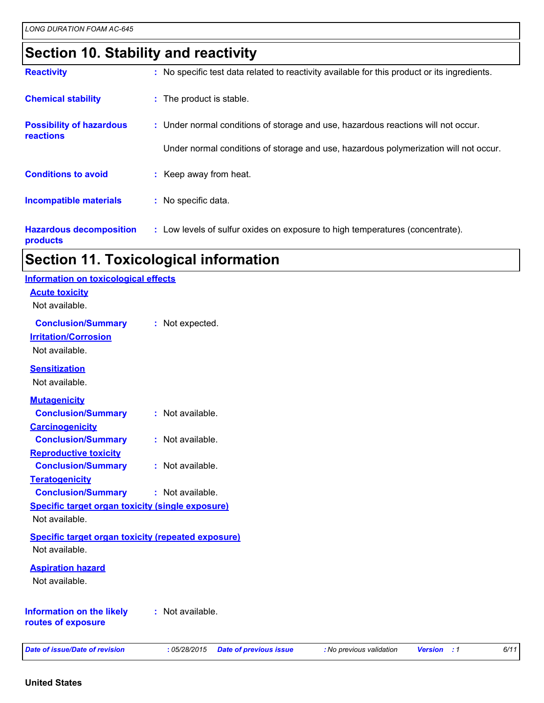# **Section 10. Stability and reactivity**

| <b>Reactivity</b>                            |  | : No specific test data related to reactivity available for this product or its ingredients. |
|----------------------------------------------|--|----------------------------------------------------------------------------------------------|
| <b>Chemical stability</b>                    |  | : The product is stable.                                                                     |
| <b>Possibility of hazardous</b><br>reactions |  | : Under normal conditions of storage and use, hazardous reactions will not occur.            |
|                                              |  | Under normal conditions of storage and use, hazardous polymerization will not occur.         |
| <b>Conditions to avoid</b>                   |  | : Keep away from heat.                                                                       |
| <b>Incompatible materials</b>                |  | : No specific data.                                                                          |
| <b>Hazardous decomposition</b><br>products   |  | : Low levels of sulfur oxides on exposure to high temperatures (concentrate).                |

# **Section 11. Toxicological information**

| <b>Date of issue/Date of revision</b>                                       | :05/28/2015<br><b>Date of previous issue</b> | : No previous validation | <b>Version</b> : 1 | 6/11 |
|-----------------------------------------------------------------------------|----------------------------------------------|--------------------------|--------------------|------|
| <b>Information on the likely</b><br>routes of exposure                      | : Not available.                             |                          |                    |      |
| <b>Aspiration hazard</b><br>Not available.                                  |                                              |                          |                    |      |
| <b>Specific target organ toxicity (repeated exposure)</b><br>Not available. |                                              |                          |                    |      |
| Not available.                                                              |                                              |                          |                    |      |
| <b>Specific target organ toxicity (single exposure)</b>                     |                                              |                          |                    |      |
| <b>Conclusion/Summary</b>                                                   | : Not available.                             |                          |                    |      |
| <b>Teratogenicity</b>                                                       |                                              |                          |                    |      |
| <b>Conclusion/Summary</b>                                                   | : Not available.                             |                          |                    |      |
| <b>Reproductive toxicity</b>                                                |                                              |                          |                    |      |
| <b>Conclusion/Summary</b>                                                   | : Not available.                             |                          |                    |      |
| <b>Carcinogenicity</b>                                                      |                                              |                          |                    |      |
| <b>Mutagenicity</b><br><b>Conclusion/Summary</b>                            | : Not available.                             |                          |                    |      |
| Not available.                                                              |                                              |                          |                    |      |
| <b>Sensitization</b>                                                        |                                              |                          |                    |      |
| Not available.                                                              |                                              |                          |                    |      |
| <b>Irritation/Corrosion</b>                                                 |                                              |                          |                    |      |
| <b>Conclusion/Summary</b>                                                   | : Not expected.                              |                          |                    |      |
| <b>Acute toxicity</b><br>Not available.                                     |                                              |                          |                    |      |
|                                                                             |                                              |                          |                    |      |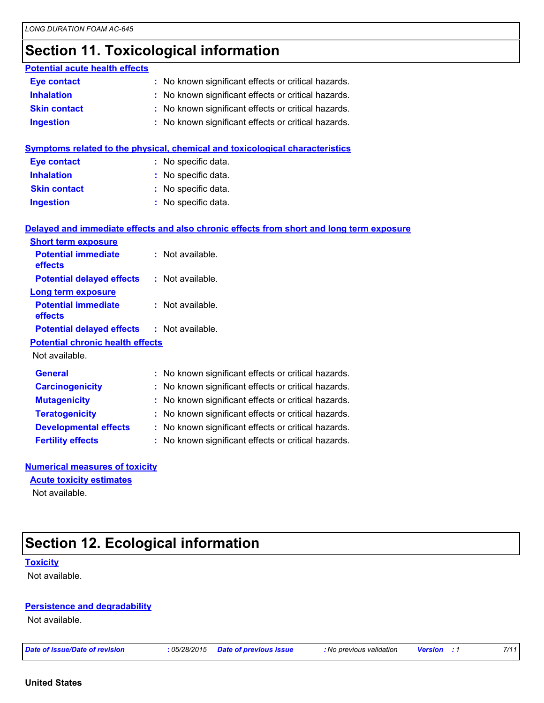# **Section 11. Toxicological information**

| <b>Potential acute health effects</b>   |                                                                                          |
|-----------------------------------------|------------------------------------------------------------------------------------------|
| <b>Eye contact</b>                      | : No known significant effects or critical hazards.                                      |
| <b>Inhalation</b>                       | No known significant effects or critical hazards.                                        |
| <b>Skin contact</b>                     | : No known significant effects or critical hazards.                                      |
| <b>Ingestion</b>                        | : No known significant effects or critical hazards.                                      |
|                                         | Symptoms related to the physical, chemical and toxicological characteristics             |
| <b>Eye contact</b>                      | : No specific data.                                                                      |
| <b>Inhalation</b>                       | : No specific data.                                                                      |
| <b>Skin contact</b>                     | : No specific data.                                                                      |
| <b>Ingestion</b>                        | : No specific data.                                                                      |
|                                         | Delayed and immediate effects and also chronic effects from short and long term exposure |
| <b>Short term exposure</b>              |                                                                                          |
| <b>Potential immediate</b><br>effects   | : Not available.                                                                         |
| <b>Potential delayed effects</b>        | : Not available.                                                                         |
| <b>Long term exposure</b>               |                                                                                          |
| <b>Potential immediate</b><br>effects   | : Not available.                                                                         |
| <b>Potential delayed effects</b>        | : Not available.                                                                         |
| <b>Potential chronic health effects</b> |                                                                                          |
| Not available.                          |                                                                                          |
| <b>General</b>                          | : No known significant effects or critical hazards.                                      |
| <b>Carcinogenicity</b>                  | No known significant effects or critical hazards.                                        |
| <b>Mutagenicity</b>                     | No known significant effects or critical hazards.                                        |
| <b>Teratogenicity</b>                   | : No known significant effects or critical hazards.                                      |
| <b>Developmental effects</b>            | No known significant effects or critical hazards.                                        |
| <b>Fertility effects</b>                | No known significant effects or critical hazards.                                        |
| Numerical measures of toxicity          |                                                                                          |

#### **Numerical measures of toxicity**

#### **Acute toxicity estimates**

Not available.

# **Section 12. Ecological information**

#### **Toxicity**

Not available.

#### **Persistence and degradability**

Not available.

*Date of issue/Date of revision* **:** *05/28/2015 Date of previous issue : No previous validation Version : 1 7/11*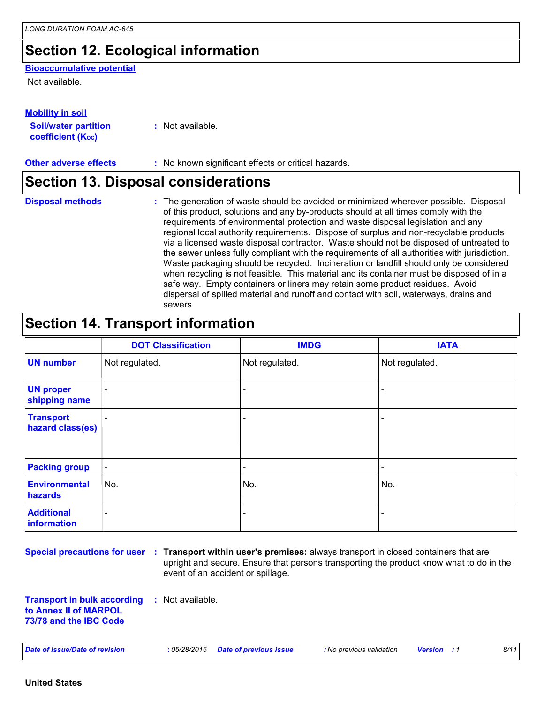# **Section 12. Ecological information**

#### **Bioaccumulative potential**

Not available.

| <b>Mobility in soil</b>                                 |                  |
|---------------------------------------------------------|------------------|
| <b>Soil/water partition</b><br><b>coefficient (Koc)</b> | : Not available. |

**Other adverse effects** : No known significant effects or critical hazards.

# **Section 13. Disposal considerations**

The generation of waste should be avoided or minimized wherever possible. Disposal of this product, solutions and any by-products should at all times comply with the requirements of environmental protection and waste disposal legislation and any regional local authority requirements. Dispose of surplus and non-recyclable products via a licensed waste disposal contractor. Waste should not be disposed of untreated to the sewer unless fully compliant with the requirements of all authorities with jurisdiction. Waste packaging should be recycled. Incineration or landfill should only be considered when recycling is not feasible. This material and its container must be disposed of in a safe way. Empty containers or liners may retain some product residues. Avoid dispersal of spilled material and runoff and contact with soil, waterways, drains and sewers. **Disposal methods :**

### **Section 14. Transport information**

|                                      | <b>DOT Classification</b> | <b>IMDG</b>    | <b>IATA</b>              |
|--------------------------------------|---------------------------|----------------|--------------------------|
| <b>UN number</b>                     | Not regulated.            | Not regulated. | Not regulated.           |
| <b>UN proper</b><br>shipping name    | $\blacksquare$            |                | $\overline{\phantom{0}}$ |
| <b>Transport</b><br>hazard class(es) |                           |                |                          |
| <b>Packing group</b>                 | $\blacksquare$            |                | $\overline{\phantom{0}}$ |
| <b>Environmental</b><br>hazards      | No.                       | No.            | No.                      |
| <b>Additional</b><br>information     | $\overline{\phantom{a}}$  |                | -                        |

**Special precautions for user Transport within user's premises:** always transport in closed containers that are **:** upright and secure. Ensure that persons transporting the product know what to do in the event of an accident or spillage.

**Transport in bulk according to Annex II of MARPOL 73/78 and the IBC Code :** Not available.

*Date of issue/Date of revision* **:** *05/28/2015 Date of previous issue : No previous validation Version : 1 8/11*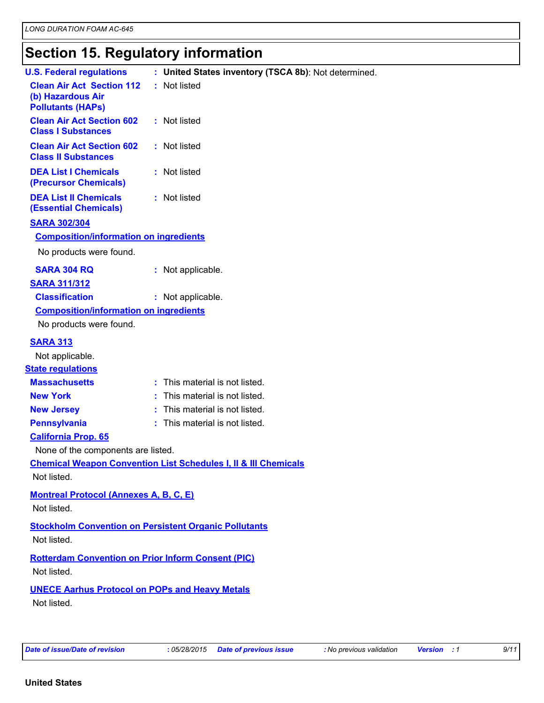# **Section 15. Regulatory information**

| : United States inventory (TSCA 8b): Not determined.<br><b>U.S. Federal regulations</b><br>: Not listed<br><b>Clean Air Act Section 112</b><br>(b) Hazardous Air<br><b>Pollutants (HAPs)</b><br><b>Clean Air Act Section 602</b><br>: Not listed<br><b>Class I Substances</b><br><b>Clean Air Act Section 602</b><br>: Not listed<br><b>Class II Substances</b><br><b>DEA List I Chemicals</b><br>: Not listed<br>(Precursor Chemicals)<br><b>DEA List II Chemicals</b><br>: Not listed<br><b>(Essential Chemicals)</b><br><b>SARA 302/304</b><br><b>Composition/information on ingredients</b><br>No products were found.<br><b>SARA 304 RQ</b><br>: Not applicable.<br><b>SARA 311/312</b><br><b>Classification</b><br>: Not applicable.<br><b>Composition/information on ingredients</b><br>No products were found.<br><b>SARA 313</b><br>Not applicable.<br><b>State regulations</b><br><b>Massachusetts</b><br>: This material is not listed.<br><b>New York</b><br>: This material is not listed.<br><b>New Jersey</b><br>: This material is not listed.<br><b>Pennsylvania</b><br>: This material is not listed.<br><b>California Prop. 65</b><br>None of the components are listed.<br><b>Chemical Weapon Convention List Schedules I, II &amp; III Chemicals</b><br>Not listed.<br><b>Montreal Protocol (Annexes A, B, C, E)</b><br>Not listed.<br><b>Stockholm Convention on Persistent Organic Pollutants</b><br>Not listed.<br><b>Rotterdam Convention on Prior Inform Consent (PIC)</b><br>Not listed.<br><b>UNECE Aarhus Protocol on POPs and Heavy Metals</b><br>Not listed. |  |  |
|---------------------------------------------------------------------------------------------------------------------------------------------------------------------------------------------------------------------------------------------------------------------------------------------------------------------------------------------------------------------------------------------------------------------------------------------------------------------------------------------------------------------------------------------------------------------------------------------------------------------------------------------------------------------------------------------------------------------------------------------------------------------------------------------------------------------------------------------------------------------------------------------------------------------------------------------------------------------------------------------------------------------------------------------------------------------------------------------------------------------------------------------------------------------------------------------------------------------------------------------------------------------------------------------------------------------------------------------------------------------------------------------------------------------------------------------------------------------------------------------------------------------------------------------------------------------------------------------|--|--|
|                                                                                                                                                                                                                                                                                                                                                                                                                                                                                                                                                                                                                                                                                                                                                                                                                                                                                                                                                                                                                                                                                                                                                                                                                                                                                                                                                                                                                                                                                                                                                                                             |  |  |
|                                                                                                                                                                                                                                                                                                                                                                                                                                                                                                                                                                                                                                                                                                                                                                                                                                                                                                                                                                                                                                                                                                                                                                                                                                                                                                                                                                                                                                                                                                                                                                                             |  |  |
|                                                                                                                                                                                                                                                                                                                                                                                                                                                                                                                                                                                                                                                                                                                                                                                                                                                                                                                                                                                                                                                                                                                                                                                                                                                                                                                                                                                                                                                                                                                                                                                             |  |  |
|                                                                                                                                                                                                                                                                                                                                                                                                                                                                                                                                                                                                                                                                                                                                                                                                                                                                                                                                                                                                                                                                                                                                                                                                                                                                                                                                                                                                                                                                                                                                                                                             |  |  |
|                                                                                                                                                                                                                                                                                                                                                                                                                                                                                                                                                                                                                                                                                                                                                                                                                                                                                                                                                                                                                                                                                                                                                                                                                                                                                                                                                                                                                                                                                                                                                                                             |  |  |
|                                                                                                                                                                                                                                                                                                                                                                                                                                                                                                                                                                                                                                                                                                                                                                                                                                                                                                                                                                                                                                                                                                                                                                                                                                                                                                                                                                                                                                                                                                                                                                                             |  |  |
|                                                                                                                                                                                                                                                                                                                                                                                                                                                                                                                                                                                                                                                                                                                                                                                                                                                                                                                                                                                                                                                                                                                                                                                                                                                                                                                                                                                                                                                                                                                                                                                             |  |  |
|                                                                                                                                                                                                                                                                                                                                                                                                                                                                                                                                                                                                                                                                                                                                                                                                                                                                                                                                                                                                                                                                                                                                                                                                                                                                                                                                                                                                                                                                                                                                                                                             |  |  |
|                                                                                                                                                                                                                                                                                                                                                                                                                                                                                                                                                                                                                                                                                                                                                                                                                                                                                                                                                                                                                                                                                                                                                                                                                                                                                                                                                                                                                                                                                                                                                                                             |  |  |
|                                                                                                                                                                                                                                                                                                                                                                                                                                                                                                                                                                                                                                                                                                                                                                                                                                                                                                                                                                                                                                                                                                                                                                                                                                                                                                                                                                                                                                                                                                                                                                                             |  |  |
|                                                                                                                                                                                                                                                                                                                                                                                                                                                                                                                                                                                                                                                                                                                                                                                                                                                                                                                                                                                                                                                                                                                                                                                                                                                                                                                                                                                                                                                                                                                                                                                             |  |  |
|                                                                                                                                                                                                                                                                                                                                                                                                                                                                                                                                                                                                                                                                                                                                                                                                                                                                                                                                                                                                                                                                                                                                                                                                                                                                                                                                                                                                                                                                                                                                                                                             |  |  |
|                                                                                                                                                                                                                                                                                                                                                                                                                                                                                                                                                                                                                                                                                                                                                                                                                                                                                                                                                                                                                                                                                                                                                                                                                                                                                                                                                                                                                                                                                                                                                                                             |  |  |
|                                                                                                                                                                                                                                                                                                                                                                                                                                                                                                                                                                                                                                                                                                                                                                                                                                                                                                                                                                                                                                                                                                                                                                                                                                                                                                                                                                                                                                                                                                                                                                                             |  |  |
|                                                                                                                                                                                                                                                                                                                                                                                                                                                                                                                                                                                                                                                                                                                                                                                                                                                                                                                                                                                                                                                                                                                                                                                                                                                                                                                                                                                                                                                                                                                                                                                             |  |  |
|                                                                                                                                                                                                                                                                                                                                                                                                                                                                                                                                                                                                                                                                                                                                                                                                                                                                                                                                                                                                                                                                                                                                                                                                                                                                                                                                                                                                                                                                                                                                                                                             |  |  |
|                                                                                                                                                                                                                                                                                                                                                                                                                                                                                                                                                                                                                                                                                                                                                                                                                                                                                                                                                                                                                                                                                                                                                                                                                                                                                                                                                                                                                                                                                                                                                                                             |  |  |
|                                                                                                                                                                                                                                                                                                                                                                                                                                                                                                                                                                                                                                                                                                                                                                                                                                                                                                                                                                                                                                                                                                                                                                                                                                                                                                                                                                                                                                                                                                                                                                                             |  |  |
|                                                                                                                                                                                                                                                                                                                                                                                                                                                                                                                                                                                                                                                                                                                                                                                                                                                                                                                                                                                                                                                                                                                                                                                                                                                                                                                                                                                                                                                                                                                                                                                             |  |  |
|                                                                                                                                                                                                                                                                                                                                                                                                                                                                                                                                                                                                                                                                                                                                                                                                                                                                                                                                                                                                                                                                                                                                                                                                                                                                                                                                                                                                                                                                                                                                                                                             |  |  |
|                                                                                                                                                                                                                                                                                                                                                                                                                                                                                                                                                                                                                                                                                                                                                                                                                                                                                                                                                                                                                                                                                                                                                                                                                                                                                                                                                                                                                                                                                                                                                                                             |  |  |
|                                                                                                                                                                                                                                                                                                                                                                                                                                                                                                                                                                                                                                                                                                                                                                                                                                                                                                                                                                                                                                                                                                                                                                                                                                                                                                                                                                                                                                                                                                                                                                                             |  |  |
|                                                                                                                                                                                                                                                                                                                                                                                                                                                                                                                                                                                                                                                                                                                                                                                                                                                                                                                                                                                                                                                                                                                                                                                                                                                                                                                                                                                                                                                                                                                                                                                             |  |  |
|                                                                                                                                                                                                                                                                                                                                                                                                                                                                                                                                                                                                                                                                                                                                                                                                                                                                                                                                                                                                                                                                                                                                                                                                                                                                                                                                                                                                                                                                                                                                                                                             |  |  |
|                                                                                                                                                                                                                                                                                                                                                                                                                                                                                                                                                                                                                                                                                                                                                                                                                                                                                                                                                                                                                                                                                                                                                                                                                                                                                                                                                                                                                                                                                                                                                                                             |  |  |
|                                                                                                                                                                                                                                                                                                                                                                                                                                                                                                                                                                                                                                                                                                                                                                                                                                                                                                                                                                                                                                                                                                                                                                                                                                                                                                                                                                                                                                                                                                                                                                                             |  |  |
|                                                                                                                                                                                                                                                                                                                                                                                                                                                                                                                                                                                                                                                                                                                                                                                                                                                                                                                                                                                                                                                                                                                                                                                                                                                                                                                                                                                                                                                                                                                                                                                             |  |  |
|                                                                                                                                                                                                                                                                                                                                                                                                                                                                                                                                                                                                                                                                                                                                                                                                                                                                                                                                                                                                                                                                                                                                                                                                                                                                                                                                                                                                                                                                                                                                                                                             |  |  |
|                                                                                                                                                                                                                                                                                                                                                                                                                                                                                                                                                                                                                                                                                                                                                                                                                                                                                                                                                                                                                                                                                                                                                                                                                                                                                                                                                                                                                                                                                                                                                                                             |  |  |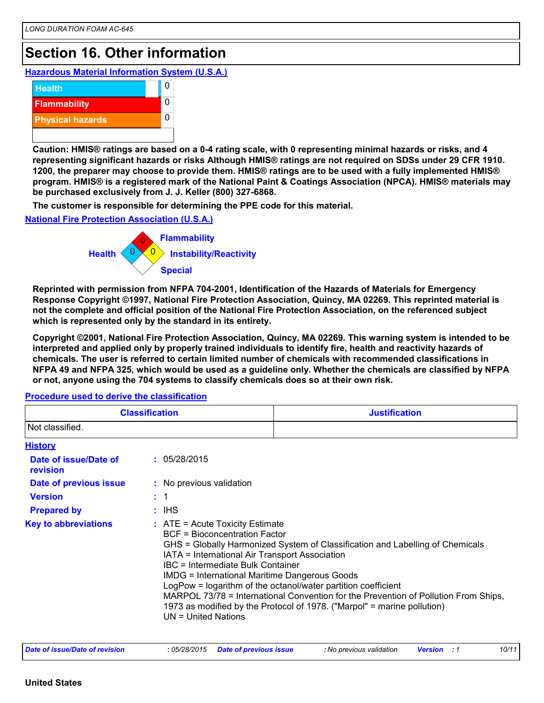### **Section 16. Other information**

**Hazardous Material Information System (U.S.A.)**



**Caution: HMIS® ratings are based on a 0-4 rating scale, with 0 representing minimal hazards or risks, and 4 representing significant hazards or risks Although HMIS® ratings are not required on SDSs under 29 CFR 1910. 1200, the preparer may choose to provide them. HMIS® ratings are to be used with a fully implemented HMIS® program. HMIS® is a registered mark of the National Paint & Coatings Association (NPCA). HMIS® materials may be purchased exclusively from J. J. Keller (800) 327-6868.**

**The customer is responsible for determining the PPE code for this material.**

**National Fire Protection Association (U.S.A.)**



**Reprinted with permission from NFPA 704-2001, Identification of the Hazards of Materials for Emergency Response Copyright ©1997, National Fire Protection Association, Quincy, MA 02269. This reprinted material is not the complete and official position of the National Fire Protection Association, on the referenced subject which is represented only by the standard in its entirety.**

**Copyright ©2001, National Fire Protection Association, Quincy, MA 02269. This warning system is intended to be interpreted and applied only by properly trained individuals to identify fire, health and reactivity hazards of chemicals. The user is referred to certain limited number of chemicals with recommended classifications in NFPA 49 and NFPA 325, which would be used as a guideline only. Whether the chemicals are classified by NFPA or not, anyone using the 704 systems to classify chemicals does so at their own risk.**

**History** IHS **: Date of issue/Date of revision Version Prepared by Date of previous issue : :** 05/28/2015 **:** No previous validation **Key to abbreviations :** ATE = Acute Toxicity Estimate BCF = Bioconcentration Factor GHS = Globally Harmonized System of Classification and Labelling of Chemicals IATA = International Air Transport Association IBC = Intermediate Bulk Container IMDG = International Maritime Dangerous Goods LogPow = logarithm of the octanol/water partition coefficient MARPOL 73/78 = International Convention for the Prevention of Pollution From Ships, 1973 as modified by the Protocol of 1978. ("Marpol" = marine pollution) UN = United Nations 1 **Classification Justification** Not classified.

**Procedure used to derive the classification**